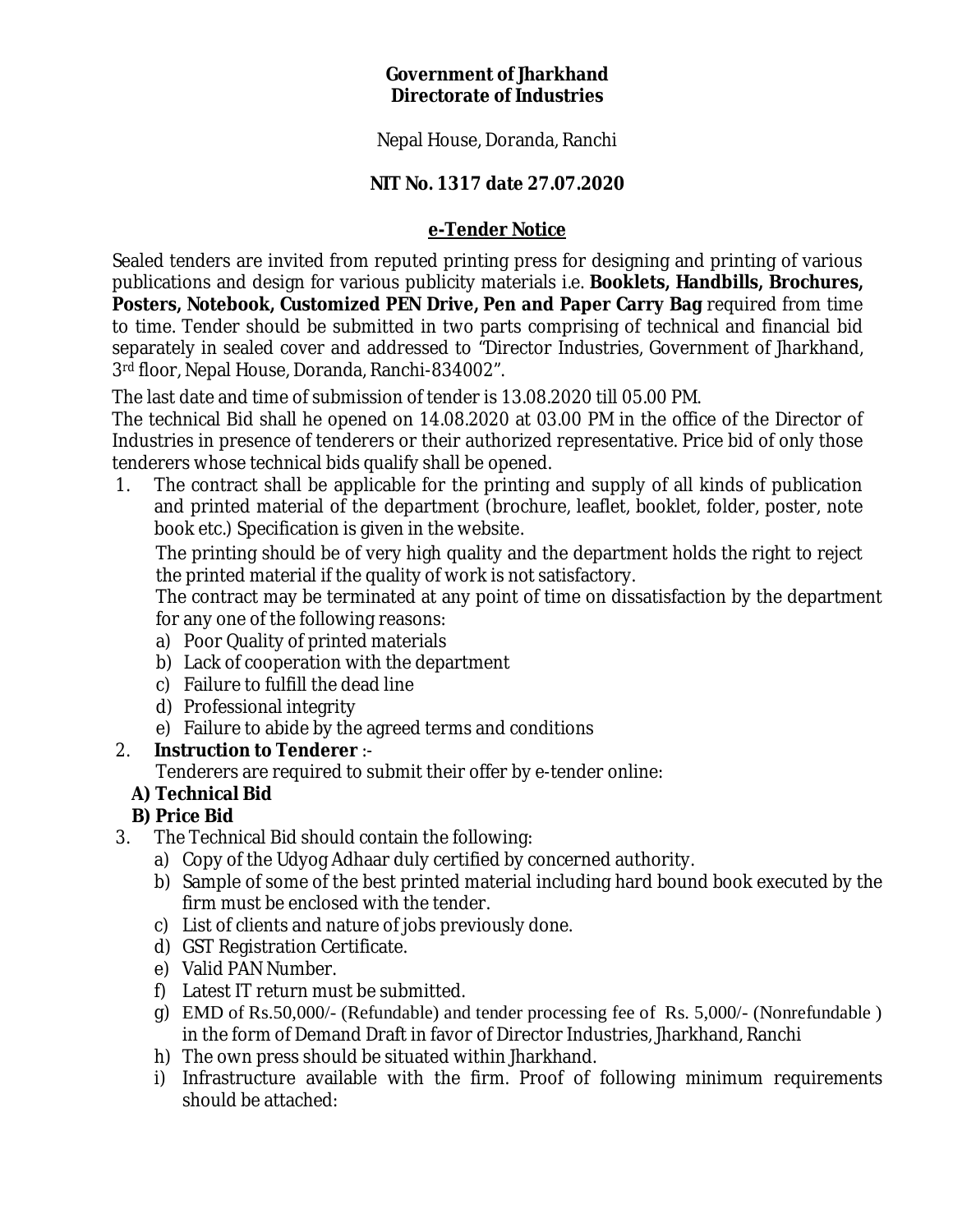## **Government of Jharkhand Directorate of Industries**

Nepal House, Doranda, Ranchi

## **NIT No. 1317 date 27.07.2020**

## **e-Tender Notice**

Sealed tenders are invited from reputed printing press for designing and printing of various publications and design for various publicity materials i.e. **Booklets, Handbills, Brochures, Posters, Notebook, Customized PEN Drive, Pen and Paper Carry Bag** required from time to time. Tender should be submitted in two parts comprising of technical and financial bid separately in sealed cover and addressed to "Director Industries, Government of Jharkhand, 3rd floor, Nepal House, Doranda, Ranchi-834002".

The last date and time of submission of tender is 13.08.2020 till 05.00 PM.

The technical Bid shall he opened on 14.08.2020 at 03.00 PM in the office of the Director of Industries in presence of tenderers or their authorized representative. Price bid of only those tenderers whose technical bids qualify shall be opened.

1. The contract shall be applicable for the printing and supply of all kinds of publication and printed material of the department (brochure, leaflet, booklet, folder, poster, note book etc.) Specification is given in the website.

The printing should be of very high quality and the department holds the right to reject the printed material if the quality of work is not satisfactory.

The contract may be terminated at any point of time on dissatisfaction by the department for any one of the following reasons:

- a) Poor Quality of printed materials
- b) Lack of cooperation with the department
- c) Failure to fulfill the dead line
- d) Professional integrity
- e) Failure to abide by the agreed terms and conditions
- 2. **Instruction to Tenderer** :-

Tenderers are required to submit their offer by e-tender online:

**A) Technical Bid**

## **B) Price Bid**

- 3. The Technical Bid should contain the following:
	- a) Copy of the Udyog Adhaar duly certified by concerned authority.
	- b) Sample of some of the best printed material including hard bound book executed by the firm must be enclosed with the tender.
	- c) List of clients and nature of jobs previously done.
	- d) GST Registration Certificate.
	- e) Valid PAN Number.
	- f) Latest IT return must be submitted.
	- g) EMD of Rs.50,000/- (Refundable) and tender processing fee of Rs. 5,000/- (Nonrefundable ) in the form of Demand Draft in favor of Director Industries, Jharkhand, Ranchi
	- h) The own press should be situated within Jharkhand.
	- i) Infrastructure available with the firm. Proof of following minimum requirements should be attached: